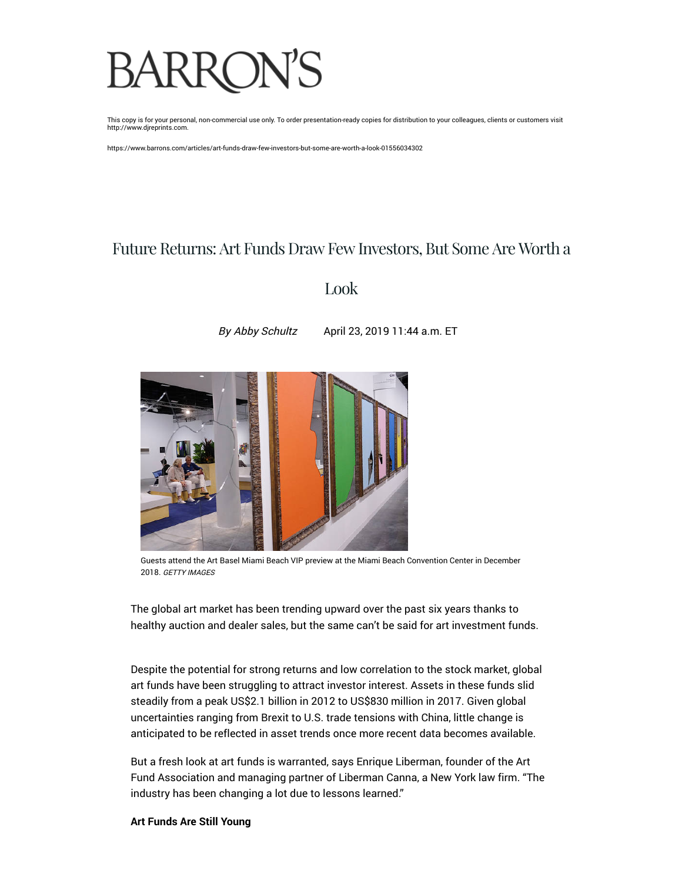# **BARRON'S**

This copy is for your personal, non-commercial use only. To order presentation-ready copies for distribution to your colleagues, clients or customers visit http://www.djreprints.com.

https://www.barrons.com/articles/art-funds-draw-few-investors-but-some-are-worth-a-look-01556034302

## Future Returns: Art Funds Draw Few Investors, But Some Are Worth a

### Look

By [Abby Schultz](https://www.barrons.com/authors/8507?mod=article_byline) April 23, 2019 11:44 a.m. ET



Guests attend the Art Basel Miami Beach VIP preview at the Miami Beach Convention Center in December 2018. GETTY IMAGES

The global art market has been trending upward over the past six years thanks to healthy auction and dealer sales, but the same can't be said for art investment funds.

Despite the potential for strong returns and low correlation to the stock market, global art funds have been struggling to attract investor interest. Assets in these funds slid steadily from a peak US\$2.1 billion in 2012 to US\$830 million in 2017. Given global uncertainties ranging from Brexit to U.S. trade tensions with China, little change is anticipated to be reflected in asset trends once more recent data becomes available.

But a fresh look at art funds is warranted, says Enrique Liberman, founder of the Art Fund Association and managing partner of Liberman Canna, a New York law firm. "The industry has been changing a lot due to lessons learned."

#### **Art Funds Are Still Young**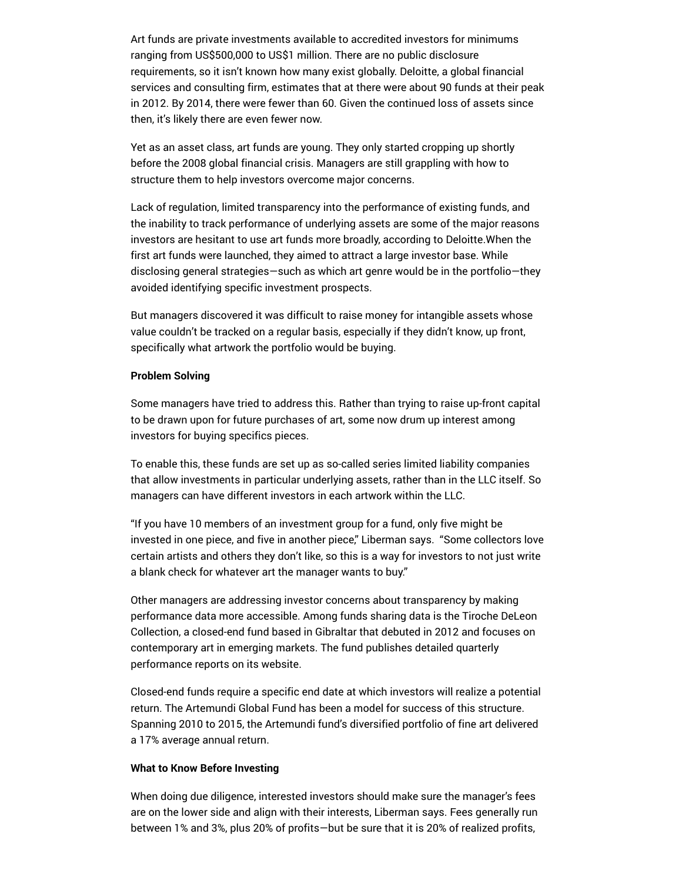Art funds are private investments available to accredited investors for minimums ranging from US\$500,000 to US\$1 million. There are no public disclosure requirements, so it isn't known how many exist globally. Deloitte, a global financial services and consulting firm, estimates that at there were about 90 funds at their peak in 2012. By 2014, there were fewer than 60. Given the continued loss of assets since then, it's likely there are even fewer now.

Yet as an asset class, art funds are young. They only started cropping up shortly before the 2008 global financial crisis. Managers are still grappling with how to structure them to help investors overcome major concerns.

Lack of regulation, limited transparency into the performance of existing funds, and the inability to track performance of underlying assets are some of the major reasons investors are hesitant to use art funds more broadly, according to Deloitte.When the first art funds were launched, they aimed to attract a large investor base. While disclosing general strategies—such as which art genre would be in the portfolio—they avoided identifying specific investment prospects.

But managers discovered it was difficult to raise money for intangible assets whose value couldn't be tracked on a regular basis, especially if they didn't know, up front, specifically what artwork the portfolio would be buying.

#### **Problem Solving**

Some managers have tried to address this. Rather than trying to raise up-front capital to be drawn upon for future purchases of art, some now drum up interest among investors for buying specifics pieces.

To enable this, these funds are set up as so-called series limited liability companies that allow investments in particular underlying assets, rather than in the LLC itself. So managers can have different investors in each artwork within the LLC.

"If you have 10 members of an investment group for a fund, only five might be invested in one piece, and five in another piece," Liberman says. "Some collectors love certain artists and others they don't like, so this is a way for investors to not just write a blank check for whatever art the manager wants to buy."

Other managers are addressing investor concerns about transparency by making performance data more accessible. Among funds sharing data is the Tiroche DeLeon Collection, a closed-end fund based in Gibraltar that debuted in 2012 and focuses on contemporary art in emerging markets. The fund publishes detailed quarterly performance reports on its website.

Closed-end funds require a specific end date at which investors will realize a potential return. The Artemundi Global Fund has been a model for success of this structure. Spanning 2010 to 2015, the Artemundi fund's diversified portfolio of fine art delivered a 17% average annual return.

#### **What to Know Before Investing**

When doing due diligence, interested investors should make sure the manager's fees are on the lower side and align with their interests, Liberman says. Fees generally run between 1% and 3%, plus 20% of profits—but be sure that it is 20% of realized profits,